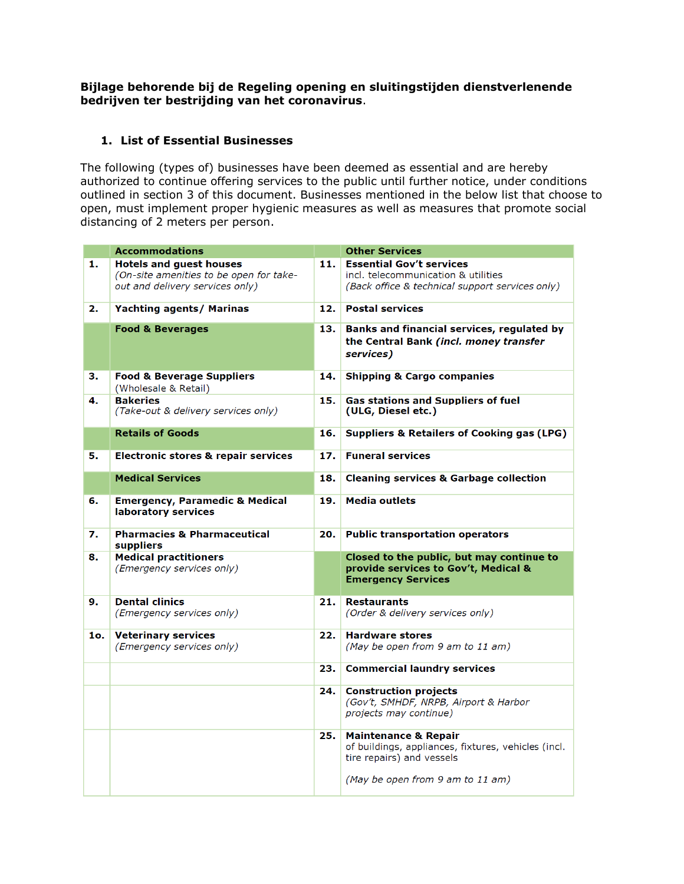**Bijlage behorende bij de Regeling opening en sluitingstijden dienstverlenende bedrijven ter bestrijding van het coronavirus**.

## **1. List of Essential Businesses**

The following (types of) businesses have been deemed as essential and are hereby authorized to continue offering services to the public until further notice, under conditions outlined in section 3 of this document. Businesses mentioned in the below list that choose to open, must implement proper hygienic measures as well as measures that promote social distancing of 2 meters per person.

|     | <b>Accommodations</b>                                                                                        |     | <b>Other Services</b>                                                                                                                                   |
|-----|--------------------------------------------------------------------------------------------------------------|-----|---------------------------------------------------------------------------------------------------------------------------------------------------------|
| 1.  | <b>Hotels and guest houses</b><br>(On-site amenities to be open for take-<br>out and delivery services only) | 11. | <b>Essential Gov't services</b><br>incl. telecommunication & utilities<br>(Back office & technical support services only)                               |
| 2.  | <b>Yachting agents/ Marinas</b>                                                                              | 12. | <b>Postal services</b>                                                                                                                                  |
|     | <b>Food &amp; Beverages</b>                                                                                  | 13. | Banks and financial services, regulated by<br>the Central Bank (incl. money transfer<br>services)                                                       |
| з.  | <b>Food &amp; Beverage Suppliers</b><br>(Wholesale & Retail)                                                 | 14. | <b>Shipping &amp; Cargo companies</b>                                                                                                                   |
| 4.  | <b>Bakeries</b><br>(Take-out & delivery services only)                                                       | 15. | Gas stations and Suppliers of fuel<br>(ULG, Diesel etc.)                                                                                                |
|     | <b>Retails of Goods</b>                                                                                      | 16. | <b>Suppliers &amp; Retailers of Cooking gas (LPG)</b>                                                                                                   |
| 5.  | Electronic stores & repair services                                                                          | 17. | <b>Funeral services</b>                                                                                                                                 |
|     | <b>Medical Services</b>                                                                                      | 18. | <b>Cleaning services &amp; Garbage collection</b>                                                                                                       |
| 6.  | <b>Emergency, Paramedic &amp; Medical</b><br>laboratory services                                             | 19. | <b>Media outlets</b>                                                                                                                                    |
| 7.  | <b>Pharmacies &amp; Pharmaceutical</b><br>suppliers                                                          | 20. | <b>Public transportation operators</b>                                                                                                                  |
| 8.  | <b>Medical practitioners</b><br>(Emergency services only)                                                    |     | Closed to the public, but may continue to<br>provide services to Gov't, Medical &<br><b>Emergency Services</b>                                          |
| 9.  | <b>Dental clinics</b><br>(Emergency services only)                                                           | 21. | <b>Restaurants</b><br>(Order & delivery services only)                                                                                                  |
| 1o. | <b>Veterinary services</b><br>(Emergency services only)                                                      | 22. | <b>Hardware stores</b><br>(May be open from 9 am to 11 am)                                                                                              |
|     |                                                                                                              | 23. | <b>Commercial laundry services</b>                                                                                                                      |
|     |                                                                                                              | 24. | <b>Construction projects</b><br>(Gov't, SMHDF, NRPB, Airport & Harbor<br>projects may continue)                                                         |
|     |                                                                                                              | 25. | <b>Maintenance &amp; Repair</b><br>of buildings, appliances, fixtures, vehicles (incl.<br>tire repairs) and vessels<br>(May be open from 9 am to 11 am) |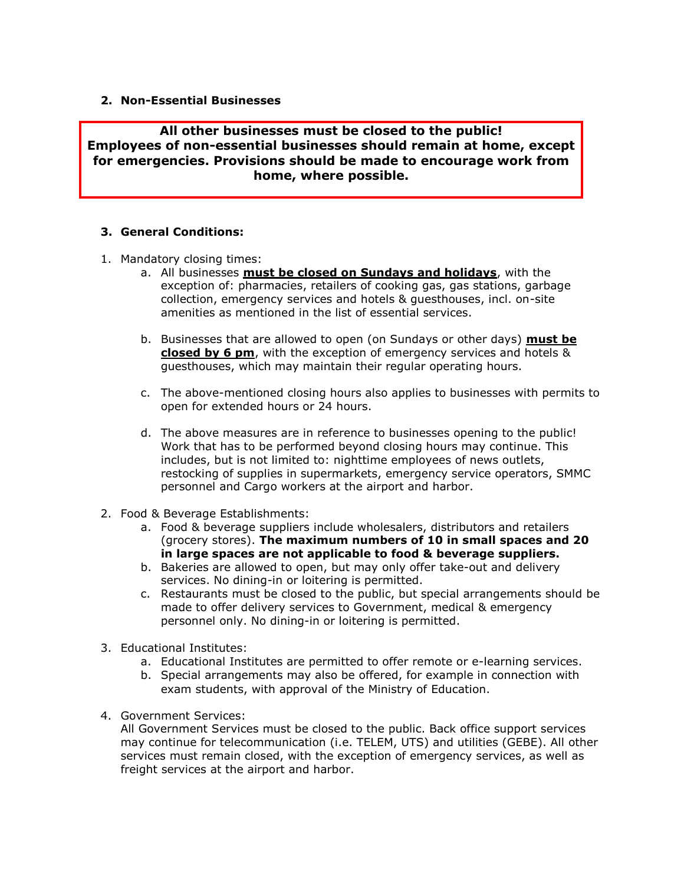## **2. Non-Essential Businesses**

**All other businesses must be closed to the public! Employees of non-essential businesses should remain at home, except for emergencies. Provisions should be made to encourage work from home, where possible.** 

## **3. General Conditions:**

- 1. Mandatory closing times:
	- a. All businesses **must be closed on Sundays and holidays**, with the exception of: pharmacies, retailers of cooking gas, gas stations, garbage collection, emergency services and hotels & guesthouses, incl. on-site amenities as mentioned in the list of essential services.
	- b. Businesses that are allowed to open (on Sundays or other days) **must be closed by 6 pm**, with the exception of emergency services and hotels & guesthouses, which may maintain their regular operating hours.
	- c. The above-mentioned closing hours also applies to businesses with permits to open for extended hours or 24 hours.
	- d. The above measures are in reference to businesses opening to the public! Work that has to be performed beyond closing hours may continue. This includes, but is not limited to: nighttime employees of news outlets, restocking of supplies in supermarkets, emergency service operators, SMMC personnel and Cargo workers at the airport and harbor.
- 2. Food & Beverage Establishments:
	- a. Food & beverage suppliers include wholesalers, distributors and retailers (grocery stores). **The maximum numbers of 10 in small spaces and 20 in large spaces are not applicable to food & beverage suppliers.**
	- b. Bakeries are allowed to open, but may only offer take-out and delivery services. No dining-in or loitering is permitted.
	- c. Restaurants must be closed to the public, but special arrangements should be made to offer delivery services to Government, medical & emergency personnel only. No dining-in or loitering is permitted.
- 3. Educational Institutes:
	- a. Educational Institutes are permitted to offer remote or e-learning services.
	- b. Special arrangements may also be offered, for example in connection with exam students, with approval of the Ministry of Education.
- 4. Government Services:

All Government Services must be closed to the public. Back office support services may continue for telecommunication (i.e. TELEM, UTS) and utilities (GEBE). All other services must remain closed, with the exception of emergency services, as well as freight services at the airport and harbor.